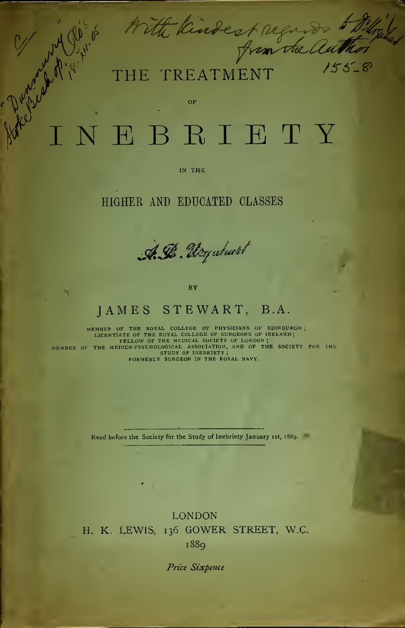# With Kindest regards & But

OF

 $\frac{1}{\sqrt{2}}$ 

f INBBEIETY

#### IN THE

#### HIGHEE AND EDUCATED CLASSES

A.D. Urqubucht

BY

#### JAMES STEWART, B.A.

MEMBER OF THE ROYAL COLLEGE OF PHYSICIANS OF EDINBURGH;<br>LICENTIATE OF THE ROYAL COLLEGE OF SURGEONS OF IRELAND;<br>FELLOW OF THE MEDICAL SOCIETY OF LONDON;<br>MEMBER OF THE MEDICO-PSYCHOOGICAL ASSOCIATION, AND OF THE SOCIETY FOR FORMERLY SURGEON IN THE ROYAL NAVY,

Read before the Society for the Study of Inebriety January 1st, 1889.

#### LONDON H. K. LEWIS, <sup>136</sup> GOWER STREET, W.C. 1889

Price Sixpence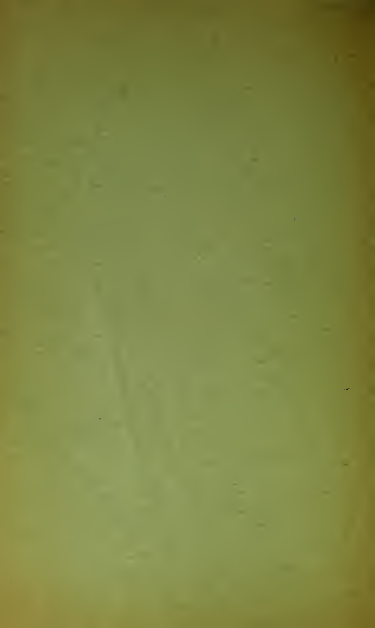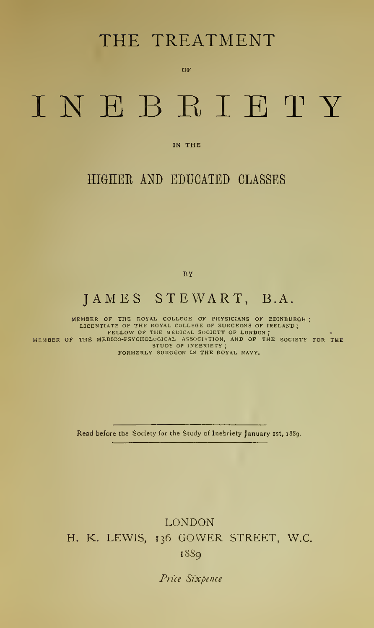#### THE TREATMENT

OF

## INEBRIETY

IN THE

#### HIGHER AND EDUCATED CLASSES

BY

#### JAMES STEWART, B.A.

MEMBER OF THE ROYAL COLLEGE OF PHYSICIANS OF EDINBURGH;<br>LICENTIATE OF THE ROYAL COLLEGE OF SURGEONS OF IRELAND;<br>FELLOW OF THE MEDICAL SOCIETY OF OLONDON;<br>MEMBER OF THE MEDICO-PSYCHOLOGICAL ASSOCIATION, AND OF THE SOCIETY F STUDY OF INEBRIETY FORMERLY SURGEON IN THE ROYAL NAVY.

Read before the Society for the Study of Inebriety January 1st, 1889.

#### LONDON H. K. LEWIS, 136 GOWER STREET, W.C. 1889

Price Sixpence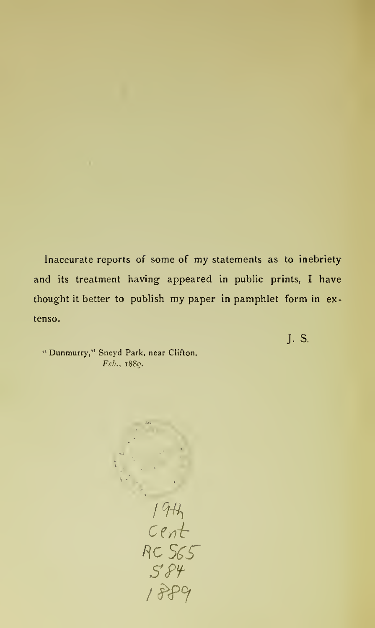Inaccurate reports of some of my statements as to inebriety and its treatment having appeared in public prints, <sup>I</sup> have thought it better to publish my paper in pamphlet form in extenso.

J- s.

" Dunmurry," Sneyd Park, near Clifton. Fcb., 1880.

 $19H$ cent  $AC$ SGS  $S^2Y$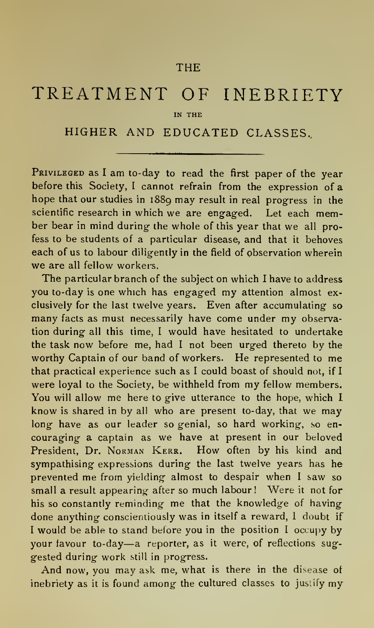#### THE

### TREATMENT OF INEBRIETY

IN THE

#### HIGHER AND EDUCATED CLASSES.

PRIVILEGED as I am to-day to read the first paper of the year before this Society, <sup>I</sup> cannot refrain from the expression of a hope that our studies in 1889 may result in real progress in the scientific research in which we are engaged. Let each member bear in mind during the whole of this year that we all profess to be students of a particular disease, and that it behoves each of us to labour diligently in the field of observation wherein we are all fellow workers.

The particular branch of the subject on which <sup>I</sup> have to address you to-day is one which has engaged my attention almost exclusively for the last twelve years. Even after accumulating so many facts as must necessarily have come under my observation during all this time, <sup>I</sup> would have hesitated to undertake the task now before me, had <sup>I</sup> not been urged thereto by the worthy Captain of our band of workers. He represented to me that practical experience such as <sup>I</sup> could boast of should not, if <sup>I</sup> were loyal to the Society, be withheld from my fellow members. You will allow me here to give utterance to the hope, which <sup>I</sup> know is shared in by all who are present to-day, that we may long have as our leader so genial, so hard working, so en couraging a captain as we have at present in our beloved President, Dr. NORMAN KERR. How often by his kind and sympathising expressions during the last twelve years has he prevented me from yielding almost to despair when I saw so small a result appearing after so much labour! Were it not for his so constantly reminding me that the knowledge of having done anything conscientiously was in itself a reward, <sup>1</sup> doubt if <sup>I</sup> would be able to stand before you in the position <sup>I</sup> occupy by your favour to-day—<sup>a</sup> reporter, as it were, of reflections sug gested during work still in progress.

And now, you may ask me, what is there in the disease of inebriety as it is found among the cultured classes to justify my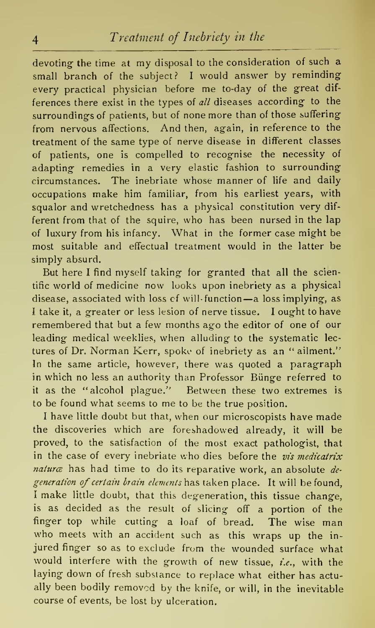devoting the time at my disposal to the consideration of such a small branch of the subject? <sup>I</sup> would answer by reminding every practical physician before me to-day of the great differences there exist in the types of all diseases according to the surroundings of patients, but of none more than of those suffering from nervous affections. And then, again, in reference to the treatment of the same type of nerve disease in different classes of patients, one is compelled to recognise the necessity of adapting remedies in a very elastic fashion to surrounding circumstances. The inebriate whose manner of life and daily occupations make him familiar, from his earliest years, with squalor and wretchedness has a physical constitution very dif ferent from that of the squire, who has been nursed in the lap of luxury from his infancy. What in the former case might be most suitable and effectual treatment would in the latter be simply absurd.

But here <sup>I</sup> find myself taking for granted that all the scientific world of medicine now looks upon inebriety as a physical disease, associated with loss cf will-function —<sup>a</sup> loss implying, as <sup>I</sup> take it, a greater or less lesion of nerve tissue. <sup>I</sup> ought to have remembered that but a few months ago the editor of one of our leading medical weeklies, when alluding to the systematic lec tures of Dr. Norman Kerr, spoke of inebriety as an "ailment." In the same article, however, there was quoted a paragraph in which no less an authority than Professor Bünge referred to it as the "alcohol plague." Between these two extremes is to be found what seems to me to be the true position.

<sup>I</sup> have little doubt but that, when our microscopists have made the discoveries which are foreshadowed already, it will be proved, to the satisfaction of the most exact pathologist, that in the case of every inebriate who dies before the vis medicalrix naturæ has had time to do its reparative work, an absolute  $de$ generation of certain brain elements has taken place. It will be found, <sup>I</sup> make little doubt, that this degeneration, this tissue change, is as decided as the result of slicing off a portion of the finger top while cutting a loaf of bread. The wise man who meets with an accident such as this wraps up the in jured finger so as to exclude from the wounded surface what would interfere with the growth of new tissue, *i.e.*, with the laying down of fresh substance to replace what either has actually been bodily removed by the knife, or will, in the inevitable course of events, be lost by ulceration.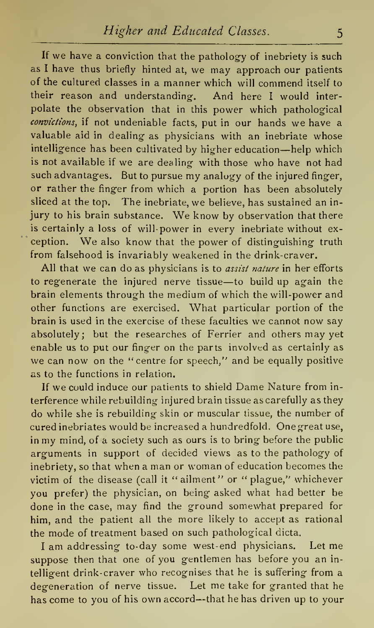If we have a conviction that the pathology of inebriety is such as <sup>I</sup> have thus briefly hinted at, we may approach our patients of the cultured classes in a manner which will commend itself to their reason and understanding. And here I would interpolate the observation that in this power which pathological convictions, if not undeniable facts, put in our hands we have a valuable aid in dealing as physicians with an inebriate whose intelligence has been cultivated by higher education—help which is not available if we are dealing with those who have not had such advantages. But to pursue my analogy of the injured finger, or rather the finger from which a portion has been absolutely sliced at the top. The inebriate, we believe, has sustained an in jury to his brain substance. We know by observation that there is certainly a loss of will-power in every inebriate without exception. We also know that the power of distinguishing truth from falsehood is invariably weakened in the drink-craver.

All that we can do as physicians is to *assist nature* in her efforts to regenerate the injured nerve tissue—to build up again the brain elements through the medium of which the will-power and other functions are exercised. What particular portion of the brain is used in the exercise of these faculties we cannot now say absolutely; but the researches of Ferrier and others may yet enable us to put our finger on the parts involved as certainly as we can now on the "centre for speech," and be equally positive as to the functions in relation.

If we could induce our patients to shield Dame Nature from in terference while rebuilding injured brain tissue as carefully as they do while she is rebuilding skin or muscular tissue, the number of cured inebriates would be increased a hundredfold. Onegreat use, in my mind, of a society such as ours is to bring before the public arguments in support of decided views as to the pathology of inebriety, so that when a man or woman of education becomes the victim of the disease (call it "ailment" or "plague," whichever you prefer) the physician, on being asked what had better be done in the case, may find the ground somewhat prepared for him, and the patient all the more likely to accept as rational the mode of treatment based on such pathological dicta.

<sup>I</sup> am addressing to-day some west-end physicians. Let me suppose then that one of you gentlemen has before you an intelligent drink-craver who recognises that he is suffering from a degeneration of nerve tissue. Let me take for granted that he has come to you of his own accord—that he has driven up to your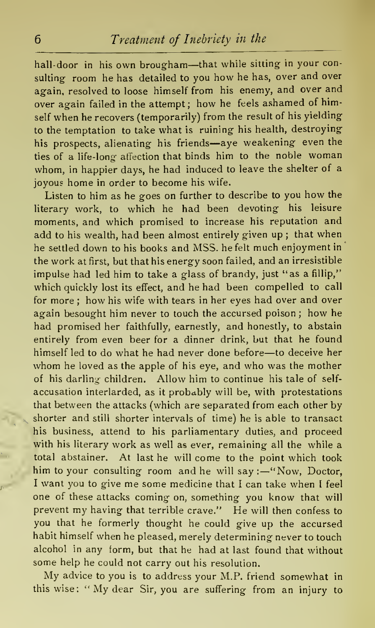hall-door in his own brougham—that while sitting in your consulting room he has detailed to you how he has, over and over again, resolved to loose himself from his enemy, and over and over again failed in the attempt ; how he feels ashamed of himself when he recovers (temporarily) from the result of his yielding to the temptation to take what is ruining his health, destroying his prospects, alienating his friends—aye weakening even the ties of <sup>a</sup> life-long affection that binds him to the noble woman whom, in happier days, he had induced to leave the shelter of a joyous home in order to become his wife.

Listen to him as he goes on further to describe to you how the literary work, to which he had been devoting his leisure moments, and which promised to increase his reputation and add to his wealth, had been almost entirely given up ; that when he settled down to his books and MSS. he felt much enjoyment in the work at first, but that his energy soon failed, and an irresistible impulse had led him to take a glass of brandy, just "as a fillip," which quickly lost its effect, and he had been compelled to call for more ; how his wife with tears in her eyes had over and over again besought him never to touch the accursed poison ; how he had promised her faithfully, earnestly, and honestly, to abstain entirely from even beer for a dinner drink, but that he found himself led to do what he had never done before—to deceive her whom he loved as the apple of his eye, and who was the mother of his darling children. Allow him to continue his tale of self accusation interlarded, as it probably will be, with protestations that between the attacks (which are separated from each other by shorter and still shorter intervals of time) he is able to transact his business, attend to his parliamentary duties, and proceed with his literary work as well as ever, remaining all the while a total abstainer. At last he will come to the point which took him to your consulting room and he will say:—"Now, Doctor, <sup>I</sup> want you to give me some medicine that <sup>I</sup> can take when <sup>I</sup> feel one of these attacks coming on, something you know that will prevent my having that terrible crave." He will then confess to you that he formerly thought he could give up the accursed habit himself when he pleased, merely determining never to touch alcohol in any form, but that he had at last found that without some help he could not carry out his resolution.

My advice to you is to address your M.P. friend somewhat in this wise: " My dear Sir, you are suffering from an injury to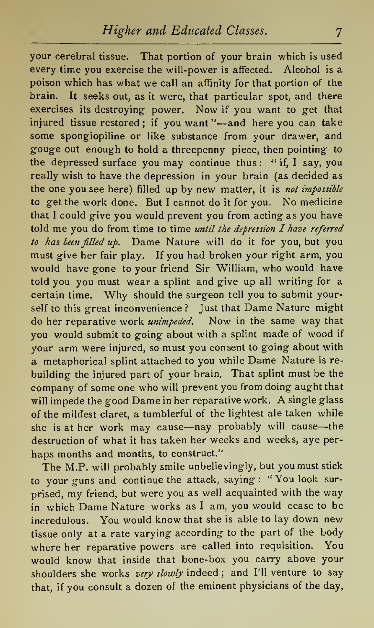your cerebral tissue. That portion of your brain which is used every time you exercise the will-power is affected. Alcohol is a poison which has what we call an affinity for that portion of the brain. It seeks out, as it were, that particular spot, and there exercises its destroying- power. Now if you want to get that injured tissue restored ; if you want "—and here you can take some spongiopiline or like substance from your drawer, and gouge out enough to hold a threepenny piece, then pointing to the depressed surface you may continue thus : " if, <sup>I</sup> say, you really wish to have the depression in your brain (as decided as the one you see here) filled up by new matter, it is not impossible to get the work done. But <sup>I</sup>cannot do it for you. No medicine that <sup>I</sup> could give you would prevent you from acting as you have told me you do from time to time until the depression I have referred to has been filled up. Dame Nature will do it for you, but you must give her fair play. If you had broken your right arm, you would have gone to your friend Sir William, who would have told you you must wear a splint and give up all writing for a certain time. Why should the surgeon tell you to submit yourself to this great inconvenience? Just that Dame Nature might do her reparative work *unimpeded*. Now in the same way that you would submit to going about with a splint made of wood if your arm were injured, so must you consent to going about with a metaphorical splint attached to you while Dame Nature is re building the injured part of your brain. That splint must be the company of some one who will prevent you from doing aught that will impede the good Dame in her reparative work. A single glass of the mildest claret, a tumblerful of the lightest ale taken while she is at her work may cause—nay probably will cause—the destruction of what it has taken her weeks and weeks, aye per haps months and months, to construct."

The M.P. will probably smile unbelievingly, but you must stick to your guns and continue the attack, saying : " You look surprised, my friend, but were you as well acquainted with the way in which Dame Nature works as <sup>I</sup> am, you would cease to be incredulous. You would know that she is able to lay down new tissue only at a rate varying according to the part of the body where her reparative powers are called into requisition. You would know that inside that bone-box you carry above your shoulders she works very slowly indeed; and I'll venture to say that, if you consult a dozen of the eminent physicians of the day,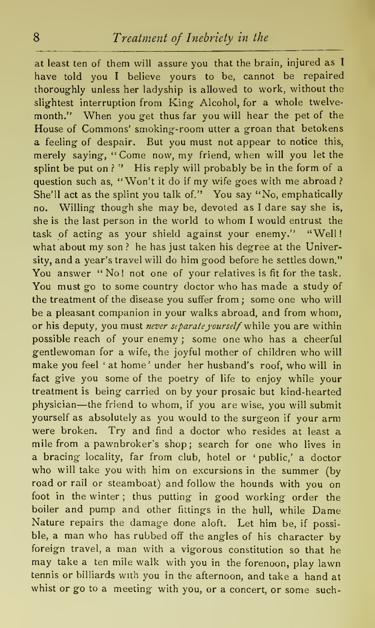at least ten of them will assure you that the brain, injured as <sup>I</sup> have told you <sup>I</sup> believe yours to be, cannot be repaired thoroughly unless her ladyship is allowed to work, without the slightest interruption from King Alcohol, for a whole twelve month." When you get thus far you will hear the pet of the House of Commons' smoking-room utter a groan that betokens a feeling of despair. But you must not appear to notice this, merely saying, " Come now, my friend, when will you let the splint be put on?" His reply will probably be in the form of a question such as, "Won't it do if my wife goes with me abroad? She'll act as the splint you talk of." You say "No, emphatically no. Willing though she may be, devoted as <sup>I</sup> dare say she is, she is the last person in the world to whom <sup>I</sup> would entrust the task of acting as your shield against your enemy." "Well! what about my son? he has just taken his degree at the University, and a year's travel will do him good before he settles down." You answer "No! not one of your relatives is fit for the task. You must go to some country doctor who has made a study of the treatment of the disease you suffer from; some one who will be a pleasant companion in your walks abroad, and from whom, or his deputy, you must never separate yourself while you are within possible reach of your enemy ; some one who has a cheerful gentlewoman for a wife, the joyful mother of children who will make you feel ' at home' under her husband's roof, who will in fact give you some of the poetry of life to enjoy while your treatment is being carried on by your prosaic but kind-hearted physician—the friend to whom, if you are wise, you will submit yourself as absolutely as you would to the surgeon if your arm were broken. Try and find a doctor who resides at least a mile from a pawnbroker's shop ; search for one who lives in a bracing locality, far from club, hotel or ' public,' a doctor who will take you with him on excursions in the summer (by road or rail or steamboat) and follow the hounds with you on foot in the winter ; thus putting in good working order the boiler and pump and other fittings in the hull, while Dame Nature repairs the damage done aloft. Let him be, if possible, <sup>a</sup> man who has rubbed off the angles of his character by foreign travel, <sup>a</sup> man with <sup>a</sup> vigorous constitution so that he may take <sup>a</sup> ten mile walk with you in the forenoon, play lawn tennis or billiards with you in the afternoon, and take a hand at whist or go to a meeting with you, or a concert, or some such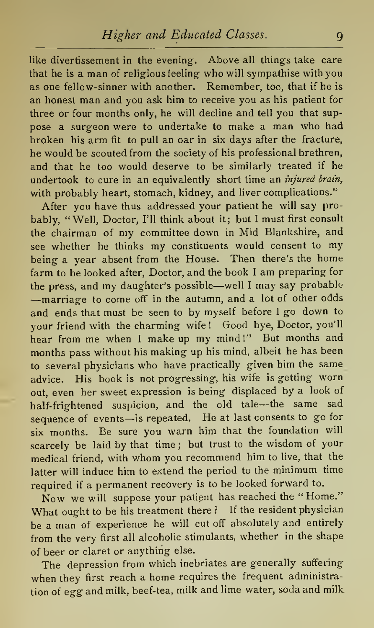like divertissement in the evening. Above all things take care that he is a man of religious feeling who will sympathise with you as one fellow-sinner with another. Remember, too, that if he is an honest man and you ask him to receive you as his patient for three or four months only, he will decline and tell you that sup pose a surgeon were to undertake to make a man who had broken his arm fit to pull an oar in six days after the fracture, he would be scouted from the society of his professional brethren, and that he too would deserve to be similarly treated if he undertook to cure in an equivalently short time an *injured brain*, with probably heart, stomach, kidney, and liver complications."

After you have thus addressed your patient he will say probably, "Well, Doctor, I'll think about it; but <sup>I</sup> must first consult the chairman of my committee down in Mid Blankshire, and see whether he thinks my constituents would consent to my being a year absent from the House. Then there's the home farm to be looked after, Doctor, and the book I am preparing for the press, and my daughter's possible—well I may say probable -marriage to come off in the autumn, and a lot of other odds and ends that must be seen to by myself before <sup>I</sup> go down to your friend with the charming wife ! Good bye, Doctor, you'll hear from me when <sup>I</sup> make up my mind !" But months and months pass without his making up his mind, albeit he has been to several physicians who have practically given him the same advice. His book is not progressing, his wife is getting worn out, even her sweet expression is being displaced by a look of half-frightened suspicion, and the old tale—the same sad sequence of events—is repeated. He at last consents to go for six months. Be sure you warn him that the foundation will scarcely be laid by that time ; but trust to the wisdom of your medical friend, with whom you recommend him to live, that the latter will induce him to extend the period to the minimum time required if a permanent recovery is to be looked forward to.

Now we will suppose your patient has reached the "Home." What ought to be his treatment there? If the resident physician be a man of experience he will cut off absolutely and entirely from the very first all alcoholic stimulants, whether in the shape of beer or claret or anything else.

The depression from which inebriates are generally suffering when they first reach a home requires the frequent administration of egg and milk, beef-tea, milk and lime water, soda and milk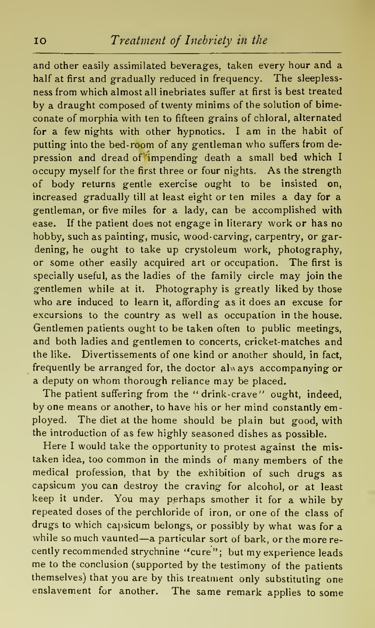and other easily assimilated beverages, taken every hour and a half at first and gradually reduced in frequency. The sleepless ness from which almost all inebriates suffer at first is best treated by a draught composed of twenty minims of the solution of bimeconate of morphia with ten to fifteen grains of chloral, alternated for a few nights with other hypnotics. <sup>I</sup> am in the habit of putting into the bed-room of any gentleman who suffers from de pression and dread of impending death a small bed which I occupy myself for the first three or four nights. As the strength of body returns gentle exercise ought to be insisted on, increased gradually till at least eight or ten miles a day for a gentleman, or five miles for a lady, can be accomplished with ease. If the patient does not engage in literary work or has no hobby, such as painting, music, wood-carving, carpentry, or gardening, he ought to take up crystoleum work, photography, or some other easily acquired art or occupation. The first is specially useful, as the ladies of the family circle may join the gentlemen while at it. Photography is greatly liked by those who are induced to learn it, affording as it does an excuse for excursions to the country as well as occupation in the house. Gentlemen patients ought to be taken often to public meetings, and both ladies and gentlemen to concerts, cricket-matches and the like. Divertissements of one kind or another should, in fact, frequently be arranged for, the doctor always accompanying or a deputy on whom thorough reliance may be placed.

The patient suffering from the "drink-crave" ought, indeed, by one means or another, to have his or her mind constantly employed. The diet at the home should be plain but good, with the introduction of as few highly seasoned dishes as possible.

Here <sup>I</sup> would take the opportunity to protest against the mistaken idea, too common in the minds of many members of the medical profession, that by the exhibition of such drugs as capsicum you can destroy the craving for alcohol, or at least keep it under. You may perhaps smother it for a while by repeated doses of the perchloride of iron, or one of the class of drugs to which capsicum belongs, or possibly by what was for a while so much vaunted—a particular sort of bark, or the more re cently recommended strychnine "cure"; but my experience leads me to the conclusion (supported by the testimony of the patients themselves) that you are by this treatment only substituting one enslavement for another. The same remark applies to some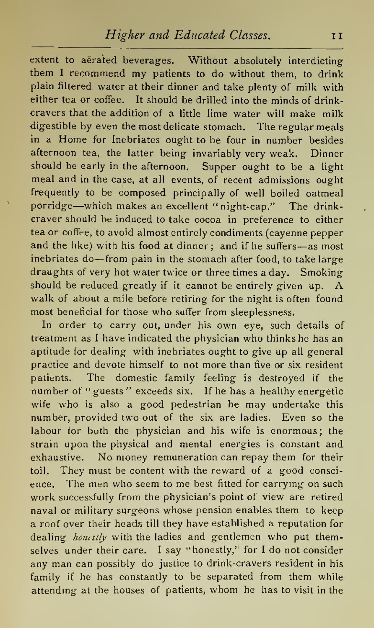extent to aerated beverages. Without absolutely interdicting them <sup>I</sup> recommend my patients to do without them, to drink plain filtered water at their dinner and take plenty of milk with either tea or coffee. It should be drilled into the minds of drink cravers that the addition of a little lime water will make milk digestible by even the most delicate stomach. The regular meals in a Home for Inebriates ought to be four in number besides afternoon tea, the latter being invariably very weak. Dinner should be early in the afternoon. Supper ought to be a light meal and in the case, at all events, of recent admissions ought frequently to be composed principally of well boiled oatmeal porridge—which makes an excellent " night-cap." The drink craver should be induced to take cocoa in preference to either tea or coffee, to avoid almost entirely condiments (cayenne pepper and the like) with his food at dinner; and if he suffers —as most inebriates do—from pain in the stomach after food, to take large draughts of very hot water twice or three times a day. Smoking should be reduced greatly if it cannot be entirely given up. A walk of about a mile before retiring for the night is often found most beneficial for those who suffer from sleeplessness.

In order to carry out, under his own eye, such details of treatment as <sup>I</sup> have indicated the physician who thinks he has an aptitude for dealing with inebriates ought to give up all general practice and devote himself to not more than five or six resident patients. The domestic family feeling is destroyed if the number of " guests " exceeds six. If he has a healthy energetic wife who is also a good pedestrian he may undertake this number, provided two out of the six are ladies. Even so the labour for buth the physician and his wife is enormous; the strain upon the physical and mental energies is constant and exhaustive. No money remuneration can repay them for their toil. They must be content with the reward of a good consci ence. The men who seem to me best fitted for carrying on such work successfully from the physician's point of view are retired naval or military surgeons whose pension enables them to keep a roof over their heads till they have established a reputation for dealing *honstly* with the ladies and gentlemen who put themselves under their care. I say "honestly," for I do not consider any man can possibly do justice to drink-cravers resident in his family if he has constantly to be separated from them while attending at the houses of patients, whom he has to visit in the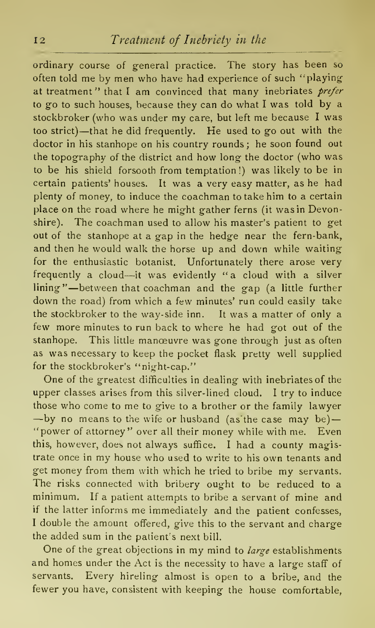ordinary course of general practice. The story has been so often told me by men who have had experience of such "playingat treatment" that I am convinced that many inebriates prefer to go to such houses, because they can do what <sup>I</sup> was told by a stockbroker (who was under my care, but left me because <sup>I</sup> was too strict) —that he did frequently. He used to go out with the doctor in his stanhope on his country rounds ; he soon found out the topography of the district and how long- the doctor (who was to be his shield forsooth from temptation!) was likely to be in certain patients' houses. It was a very easy matter, as he had plenty of money, to induce the coachman to take him to a certain place on the road where he might gather ferns (it was in Devonshire). The coachman used to allow his master's patient to get out of the stanhope at a gap in the hedge near the fern-bank, and then he would walk the horse up and down while waiting for the enthusiastic botanist. Unfortunately there arose very frequently <sup>a</sup> cloud—it was evidently "a cloud with <sup>a</sup> silver lining" —between that coachman and the gap (a little further down the road) from which a few minutes' run could easily take the stockbroker to the way-side inn. It was a matter of only a few more minutes to run back to where he had got out of the stanhope. This little manœuvre was gone through just as often as was necessary to keep the pocket flask pretty well supplied for the stockbroker's "night-cap."

One of the greatest difficulties in dealing with inebriates of the upper classes arises from this silver-lined cloud. <sup>I</sup> try to induce those who come to me to give to a brother or the family lawyer —by no means to the wife or husband (as the case may be)— " power of attorney" over all their money while with me. Even this, however, does not always suffice. <sup>I</sup> had a county magistrate once in my house who used to write to his own tenants and get money from them with which he tried to bribe my servants. The risks connected with bribery ought to be reduced to a minimum. If a patient attempts to bribe a servant of mine and if the latter informs me immediately and the patient confesses, <sup>I</sup> double the amount offered, give this to the servant and charge the added sum in the patient's next bill.

One of the great objections in my mind to *large* establishments and homes under the Act is the necessity to have a large staff of servants. Every hireling almost is open to a bribe, and the fewer you have, consistent with keeping the house comfortable,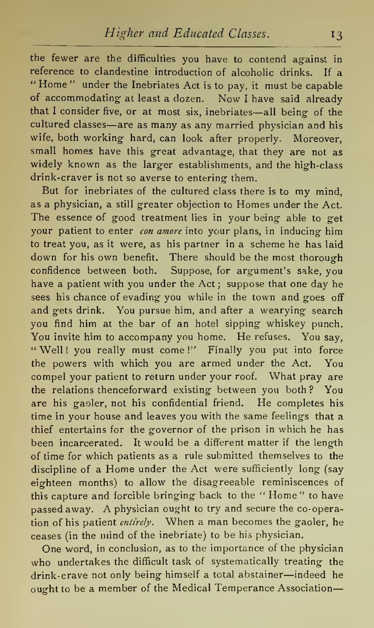the fewer are the difficulties you have to contend against in reference to clandestine introduction of alcoholic drinks. If a "Home" under the Inebriates Act is to pay, it must be capable of accommodating at least a dozen. Now <sup>I</sup> have said already that <sup>I</sup> consider five, or at most six, inebriates—all being of the cultured classes—are as many as any married physician and his wife, both working hard, can look after properly. Moreover, small homes have this great advantage, that they are not as widely known as the larger establishments, and the high-class drink-craver is not so averse to entering them.

But for inebriates of the cultured class there is to my mind, as a physician, a still greater objection to Homes under the Act. The essence of good treatment lies in your being able to get your patient to enter con amore into your plans, in inducing him to treat you, as it were, as his partner in a scheme he has laid down for his own benefit. There should be the most thorough confidence between both. Suppose, for argument's sake, you have a patient with you under the Act ; suppose that one day he sees his chance of evading you while in the town and goes off and gets drink. You pursue him, and after a wearying search you find him at the bar of an hotel sipping whiskey punch. You invite him to accompany you home. He refuses. You say, "Well! you really must come!" Finally you put into force the powers with which you are armed under the Act. You compel your patient to return under your roof. What pray are the relations thenceforward existing between you both ? You are his gaoler, not his confidential friend. He completes his time in your house and leaves you with the same feelings that a thief entertains for the governor of the prison in which he has been incarcerated. It would be a different matter if the length of time for which patients as a rule submitted themselves to the discipline of <sup>a</sup> Home under the Act were sufficiently long (say eighteen months) to allow the disagreeable reminiscences of this capture and forcible bringing back to the " Home" to have passed away. A physician ought to try and secure the co-operation of his patient entirely. When a man becomes the gaoler, he ceases (in the mind of the inebriate) to be his physician.

One word, in conclusion, as to the importance of the physician who undertakes the difficult task of systematically treating the drink-crave not only being himself <sup>a</sup> total abstainer—indeed he ought to be <sup>a</sup> member of the Medical Temperance Association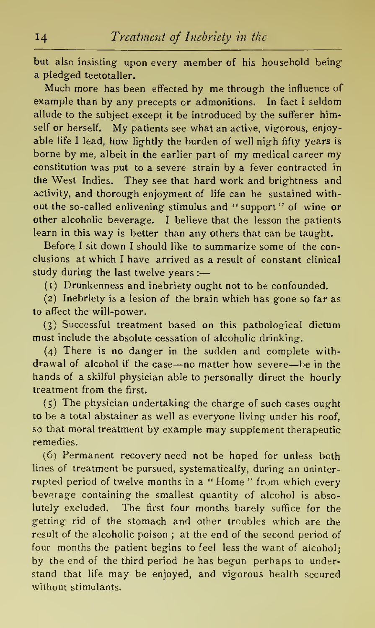but also insisting upon every member of his household being a pledged teetotaller.

Much more has been effected by me through the influence of example than by any precepts or admonitions. In fact <sup>I</sup> seldom allude to the subject except it be introduced by the sufferer himself or herself. My patients see what an active, vigorous, enjoyable life <sup>I</sup> lead, how lightly the burden of well nigh fifty years is borne by me, albeit in the earlier part of my medical career my constitution was put to a severe strain by a fever contracted in the West Indies. They see that hard work and brightness and activity, and thorough enjoyment of life can he sustained without the so-called enlivening stimulus and "support" of wine or other alcoholic beverage. <sup>I</sup> believe that the lesson the patients learn in this way is better than any others that can be taught.

Before <sup>I</sup> sit down <sup>I</sup> should like to summarize some of the conclusions at which <sup>I</sup>have arrived as a result of constant clinical study during the last twelve years :

(i) Drunkenness and inebriety ought not to be confounded.

(2) Inebriety is a lesion of the brain which has gone so far as to affect the will-power.

(3} Successful treatment based on this pathological dictum must include the absolute cessation of alcoholic drinking.

(4) There is no danger in the sudden and complete withdrawal of alcohol if the case—no matter how severe—be in the hands of a skilful physician able to personally direct the hourly treatment from the first.

(5) The physician undertaking the charge of such cases ought to be a total abstainer as well as everyone living under his roof, so that moral treatment by example may supplement therapeutic remedies.

(6) Permanent recovery need not be hoped for unless both lines of treatment be pursued, systematically, during an uninterrupted period of twelve months in a "Home" from which every beverage containing the smallest quantity of alcohol is absolutely excluded. The first four months barely suffice for the getting rid of the stomach and other troubles which are the result of the alcoholic poison ; at the end of the second period of four months the patient begins to feel less the want of alcohol; by the end of the third period he has begun perhaps to understand that life may be enjoyed, and vigorous health secured without stimulants.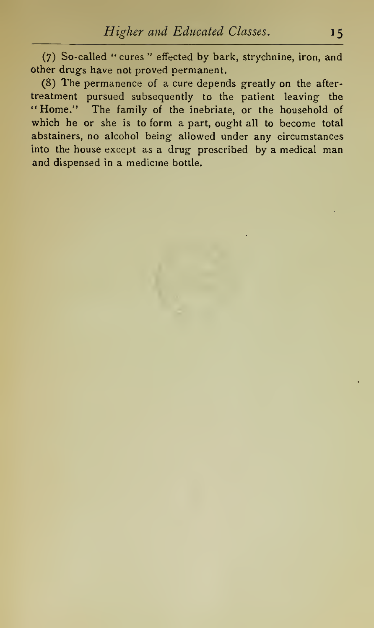(7) So-called " cures " effected by bark, strychnine, iron, and other drugs have not proved permanent.

(8) The permanence of a cure depends greatly on the after treatment pursued subsequently to the patient leaving the "Home." The family of the inebriate, or the household of which he or she is to form a part, ought all to become total abstainers, no alcohol being allowed under any circumstances into the house except as a drug prescribed by a medical man and dispensed in a medicine bottle.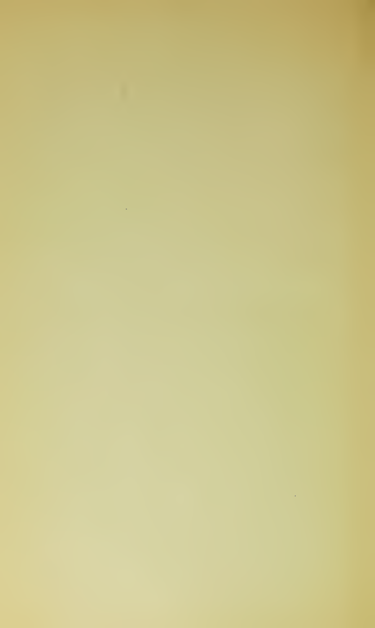$\mathcal{L}_{\mathcal{A}}$  and  $\mathcal{L}_{\mathcal{A}}$  . The set of  $\mathcal{L}_{\mathcal{A}}$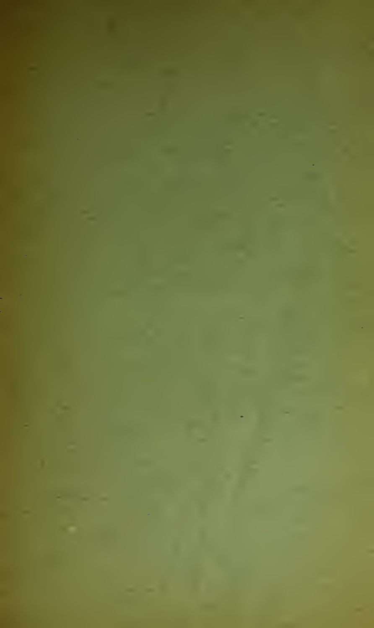